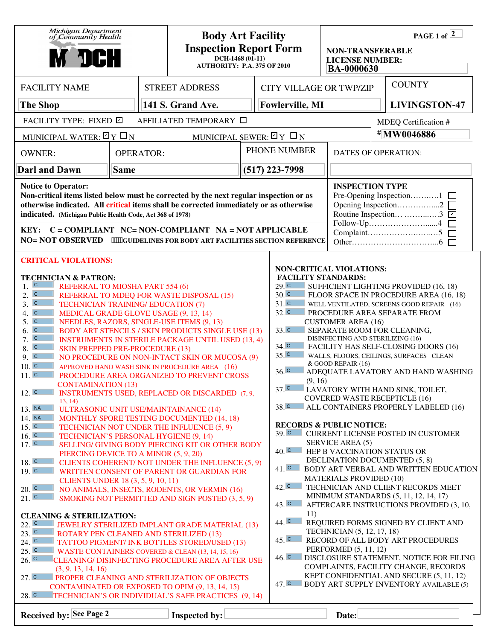| Michigan Department<br>of Community Health<br>м эсн                                                                                                                                                                                                                                                                                                                                                                                                                                                                                                                                                                                                                                                                                                                                                                                                                                                                                                                                                                                                                                                                                                                                                                                                                                                                                                                                                                                                                                                                                                                                                                                                                                                                                                                                                                                                                                                                                                                                                                                                                                |                                       |  | <b>Body Art Facility</b><br><b>Inspection Report Form</b><br>$DCH-1468(01-11)$<br><b>AUTHORITY: P.A. 375 OF 2010</b> |  |            | PAGE 1 of $\sqrt{2}$<br><b>NON-TRANSFERABLE</b><br><b>LICENSE NUMBER:</b><br><b>BA-0000630</b>                                                                                                                                                                                                                                                                                                                                                                                                                                                                                                                                                                                                                                                                                                                                                                                                                                                                                                                                                                                                                                                                                                                                                                                                                                                                                                                                                                                                                                                                   |       |                            |                      |
|------------------------------------------------------------------------------------------------------------------------------------------------------------------------------------------------------------------------------------------------------------------------------------------------------------------------------------------------------------------------------------------------------------------------------------------------------------------------------------------------------------------------------------------------------------------------------------------------------------------------------------------------------------------------------------------------------------------------------------------------------------------------------------------------------------------------------------------------------------------------------------------------------------------------------------------------------------------------------------------------------------------------------------------------------------------------------------------------------------------------------------------------------------------------------------------------------------------------------------------------------------------------------------------------------------------------------------------------------------------------------------------------------------------------------------------------------------------------------------------------------------------------------------------------------------------------------------------------------------------------------------------------------------------------------------------------------------------------------------------------------------------------------------------------------------------------------------------------------------------------------------------------------------------------------------------------------------------------------------------------------------------------------------------------------------------------------------|---------------------------------------|--|----------------------------------------------------------------------------------------------------------------------|--|------------|------------------------------------------------------------------------------------------------------------------------------------------------------------------------------------------------------------------------------------------------------------------------------------------------------------------------------------------------------------------------------------------------------------------------------------------------------------------------------------------------------------------------------------------------------------------------------------------------------------------------------------------------------------------------------------------------------------------------------------------------------------------------------------------------------------------------------------------------------------------------------------------------------------------------------------------------------------------------------------------------------------------------------------------------------------------------------------------------------------------------------------------------------------------------------------------------------------------------------------------------------------------------------------------------------------------------------------------------------------------------------------------------------------------------------------------------------------------------------------------------------------------------------------------------------------------|-------|----------------------------|----------------------|
| <b>FACILITY NAME</b>                                                                                                                                                                                                                                                                                                                                                                                                                                                                                                                                                                                                                                                                                                                                                                                                                                                                                                                                                                                                                                                                                                                                                                                                                                                                                                                                                                                                                                                                                                                                                                                                                                                                                                                                                                                                                                                                                                                                                                                                                                                               |                                       |  | <b>STREET ADDRESS</b>                                                                                                |  |            | <b>CITY VILLAGE OR TWP/ZIP</b>                                                                                                                                                                                                                                                                                                                                                                                                                                                                                                                                                                                                                                                                                                                                                                                                                                                                                                                                                                                                                                                                                                                                                                                                                                                                                                                                                                                                                                                                                                                                   |       |                            | <b>COUNTY</b>        |
| <b>The Shop</b>                                                                                                                                                                                                                                                                                                                                                                                                                                                                                                                                                                                                                                                                                                                                                                                                                                                                                                                                                                                                                                                                                                                                                                                                                                                                                                                                                                                                                                                                                                                                                                                                                                                                                                                                                                                                                                                                                                                                                                                                                                                                    |                                       |  | 141 S. Grand Ave.                                                                                                    |  |            | <b>Fowlerville, MI</b>                                                                                                                                                                                                                                                                                                                                                                                                                                                                                                                                                                                                                                                                                                                                                                                                                                                                                                                                                                                                                                                                                                                                                                                                                                                                                                                                                                                                                                                                                                                                           |       |                            | <b>LIVINGSTON-47</b> |
| FACILITY TYPE: FIXED ⊡                                                                                                                                                                                                                                                                                                                                                                                                                                                                                                                                                                                                                                                                                                                                                                                                                                                                                                                                                                                                                                                                                                                                                                                                                                                                                                                                                                                                                                                                                                                                                                                                                                                                                                                                                                                                                                                                                                                                                                                                                                                             | AFFILIATED TEMPORARY □                |  |                                                                                                                      |  |            | MDEQ Certification #                                                                                                                                                                                                                                                                                                                                                                                                                                                                                                                                                                                                                                                                                                                                                                                                                                                                                                                                                                                                                                                                                                                                                                                                                                                                                                                                                                                                                                                                                                                                             |       |                            |                      |
| MUNICIPAL WATER: $\boxdot$ Y $\Box$ N                                                                                                                                                                                                                                                                                                                                                                                                                                                                                                                                                                                                                                                                                                                                                                                                                                                                                                                                                                                                                                                                                                                                                                                                                                                                                                                                                                                                                                                                                                                                                                                                                                                                                                                                                                                                                                                                                                                                                                                                                                              | MUNICIPAL SEWER: $\boxdot$ Y $\Box$ N |  |                                                                                                                      |  | #MW0046886 |                                                                                                                                                                                                                                                                                                                                                                                                                                                                                                                                                                                                                                                                                                                                                                                                                                                                                                                                                                                                                                                                                                                                                                                                                                                                                                                                                                                                                                                                                                                                                                  |       |                            |                      |
| <b>OPERATOR:</b><br><b>OWNER:</b>                                                                                                                                                                                                                                                                                                                                                                                                                                                                                                                                                                                                                                                                                                                                                                                                                                                                                                                                                                                                                                                                                                                                                                                                                                                                                                                                                                                                                                                                                                                                                                                                                                                                                                                                                                                                                                                                                                                                                                                                                                                  |                                       |  |                                                                                                                      |  |            | PHONE NUMBER                                                                                                                                                                                                                                                                                                                                                                                                                                                                                                                                                                                                                                                                                                                                                                                                                                                                                                                                                                                                                                                                                                                                                                                                                                                                                                                                                                                                                                                                                                                                                     |       | <b>DATES OF OPERATION:</b> |                      |
| <b>Darl and Dawn</b><br><b>Same</b>                                                                                                                                                                                                                                                                                                                                                                                                                                                                                                                                                                                                                                                                                                                                                                                                                                                                                                                                                                                                                                                                                                                                                                                                                                                                                                                                                                                                                                                                                                                                                                                                                                                                                                                                                                                                                                                                                                                                                                                                                                                |                                       |  |                                                                                                                      |  |            | $(517)$ 223-7998                                                                                                                                                                                                                                                                                                                                                                                                                                                                                                                                                                                                                                                                                                                                                                                                                                                                                                                                                                                                                                                                                                                                                                                                                                                                                                                                                                                                                                                                                                                                                 |       |                            |                      |
| <b>Notice to Operator:</b><br>Non-critical items listed below must be corrected by the next regular inspection or as<br>otherwise indicated. All critical items shall be corrected immediately or as otherwise<br>indicated. (Michigan Public Health Code, Act 368 of 1978)<br>KEY: C = COMPLIANT NC= NON-COMPLIANT NA = NOT APPLICABLE<br>NO= NOT OBSERVED *"HGUIDELINES FOR BODY ART FACILITIES SECTION REFERENCE                                                                                                                                                                                                                                                                                                                                                                                                                                                                                                                                                                                                                                                                                                                                                                                                                                                                                                                                                                                                                                                                                                                                                                                                                                                                                                                                                                                                                                                                                                                                                                                                                                                                |                                       |  |                                                                                                                      |  |            | <b>INSPECTION TYPE</b><br>Pre-Opening Inspection1 □<br>Opening Inspection2<br>Routine Inspection 3                                                                                                                                                                                                                                                                                                                                                                                                                                                                                                                                                                                                                                                                                                                                                                                                                                                                                                                                                                                                                                                                                                                                                                                                                                                                                                                                                                                                                                                               |       |                            |                      |
| <b>CRITICAL VIOLATIONS:</b><br><b>TECHNICIAN &amp; PATRON:</b><br>$1.$ c<br>REFERRAL TO MIOSHA PART 554 (6)<br>2. c<br>REFERRAL TO MDEQ FOR WASTE DISPOSAL (15)<br>$3. \n\overline{c}$<br><b>TECHNICIAN TRAINING/ EDUCATION (7)</b><br>$4. \overline{c}$<br>MEDICAL GRADE GLOVE USAGE (9, 13, 14)<br>$5. \nC$<br>NEEDLES, RAZORS, SINGLE-USE ITEMS (9, 13)<br>$\overline{c}$<br><b>BODY ART STENCILS / SKIN PRODUCTS SINGLE USE (13)</b><br>6.<br>$\overline{C}$<br>7.<br><b>INSTRUMENTS IN STERILE PACKAGE UNTIL USED (13, 4)</b><br>$\mathbf C$<br>8.<br><b>SKIN PREPPED PRE-PROCEDURE (13)</b><br>9.0<br>NO PROCEDURE ON NON-INTACT SKIN OR MUCOSA (9)<br>10 <sub>1</sub><br>APPROVED HAND WASH SINK IN PROCEDURE AREA (16)<br>11. c<br>PROCEDURE AREA ORGANIZED TO PREVENT CROSS<br><b>CONTAMINATION (13)</b><br>$12.$ $\overline{c}$<br><b>INSTRUMENTS USED, REPLACED OR DISCARDED (7, 9,</b><br>13, 14)<br>13. NA<br><b>ULTRASONIC UNIT USE/MAINTAINANCE (14)</b><br>14. NA<br>MONTHLY SPORE TESTING DOCUMENTED (14, 18)<br>15. c<br>TECHNICIAN NOT UNDER THE INFLUENCE (5, 9)<br>16. c<br>TECHNICIAN'S PERSONAL HYGIENE (9, 14)<br>17. c<br>SELLING/ GIVING BODY PIERCING KIT OR OTHER BODY<br>PIERCING DEVICE TO A MINOR (5, 9, 20)<br>$18.$ C<br>CLIENTS COHERENT/ NOT UNDER THE INFLUENCE (5, 9)<br>19. c<br>WRITTEN CONSENT OF PARENT OR GUARDIAN FOR<br>CLIENTS UNDER 18 (3, 5, 9, 10, 11)<br>20. c<br>NO ANIMALS, INSECTS, RODENTS, OR VERMIN (16)<br>21.<br>SMOKING NOT PERMITTED AND SIGN POSTED (3, 5, 9)<br><b>CLEANING &amp; STERILIZATION:</b><br>$22.$ C<br><b>JEWELRY STERILIZED IMPLANT GRADE MATERIAL (13)</b><br>23.<br>ROTARY PEN CLEANED AND STERILIZED (13)<br>24. c<br>TATTOO PIGMENT/ INK BOTTLES STORED/USED (13)<br>25. c<br>WASTE CONTAINERS COVERED & CLEAN (13, 14, 15, 16)<br>26. c<br>CLEANING/ DISINFECTING PROCEDURE AREA AFTER USE<br>(3, 9, 13, 14, 16)<br>27. c<br><b>PROPER CLEANING AND STERILIZATION OF OBJECTS</b><br>CONTAMINATED OR EXPOSED TO OPIM (9, 13, 14, 15)<br>28. c<br>TECHNICIAN'S OR INDIVIDUAL'S SAFE PRACTICES (9, 14) |                                       |  |                                                                                                                      |  |            | <b>NON-CRITICAL VIOLATIONS:</b><br><b>FACILITY STANDARDS:</b><br>29 <sup>°</sup><br>SUFFICIENT LIGHTING PROVIDED (16, 18)<br>30 <sup>°</sup><br>FLOOR SPACE IN PROCEDURE AREA (16, 18)<br>31. c<br>WELL VENTILATED, SCREENS GOOD REPAIR (16)<br>32. c<br>PROCEDURE AREA SEPARATE FROM<br><b>CUSTOMER AREA (16)</b><br>33. c<br>SEPARATE ROOM FOR CLEANING,<br>DISINFECTING AND STERILIZING (16)<br>$34.$ C<br>FACILITY HAS SELF-CLOSING DOORS (16)<br>35 <sup>2</sup><br>WALLS, FLOORS, CEILINGS, SURFACES CLEAN<br>& GOOD REPAIR (16)<br>$36.$ $\degree$<br>ADEQUATE LAVATORY AND HAND WASHING<br>(9, 16)<br>37 <sup>°</sup><br>LAVATORY WITH HAND SINK, TOILET,<br><b>COVERED WASTE RECEPTICLE (16)</b><br>38. c<br>ALL CONTAINERS PROPERLY LABELED (16)<br><b>RECORDS &amp; PUBLIC NOTICE:</b><br>$39.$ C<br><b>CURRENT LICENSE POSTED IN CUSTOMER</b><br><b>SERVICE AREA (5)</b><br>40. c<br>HEP B VACCINATION STATUS OR<br>DECLINATION DOCUMENTED (5, 8)<br>$41.$ C<br>BODY ART VERBAL AND WRITTEN EDUCATION<br><b>MATERIALS PROVIDED (10)</b><br>42 <sup>c</sup><br>TECHNICIAN AND CLIENT RECORDS MEET<br>MINIMUM STANDARDS (5, 11, 12, 14, 17)<br>$43.$ C<br>AFTERCARE INSTRUCTIONS PROVIDED (3, 10,<br>11)<br>44. C<br>REQUIRED FORMS SIGNED BY CLIENT AND<br>TECHNICIAN (5, 12, 17, 18)<br>45. c<br>RECORD OF ALL BODY ART PROCEDURES<br>PERFORMED (5, 11, 12)<br>46. C<br>DISCLOSURE STATEMENT, NOTICE FOR FILING<br>COMPLAINTS, FACILITY CHANGE, RECORDS<br>KEPT CONFIDENTIAL AND SECURE (5, 11, 12)<br>47. C BODY ART SUPPLY INVENTORY AVAILABLE (5) |       |                            |                      |
| Received by: See Page 2                                                                                                                                                                                                                                                                                                                                                                                                                                                                                                                                                                                                                                                                                                                                                                                                                                                                                                                                                                                                                                                                                                                                                                                                                                                                                                                                                                                                                                                                                                                                                                                                                                                                                                                                                                                                                                                                                                                                                                                                                                                            |                                       |  | Inspected by:                                                                                                        |  |            |                                                                                                                                                                                                                                                                                                                                                                                                                                                                                                                                                                                                                                                                                                                                                                                                                                                                                                                                                                                                                                                                                                                                                                                                                                                                                                                                                                                                                                                                                                                                                                  | Date: |                            |                      |